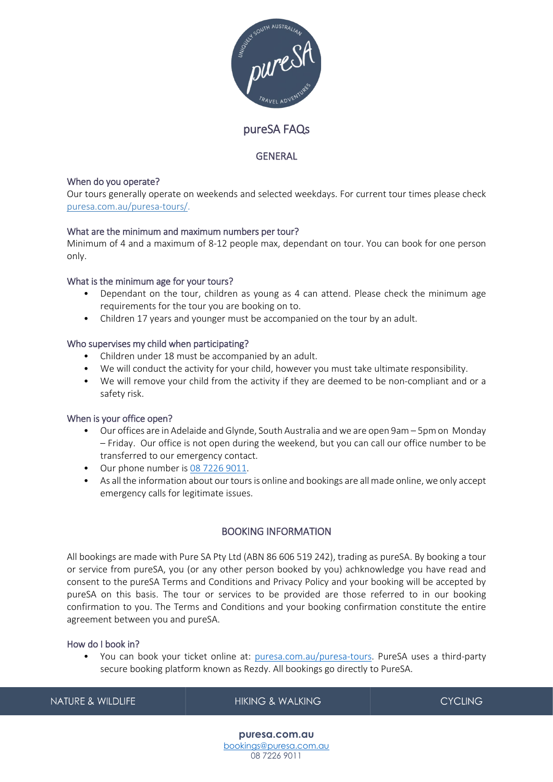

# pureSA FAQs

### GENERAL

### When do you operate?

Our tours generally operate on weekends and selected weekdays. For current tour times please check [puresa.com.au/puresa-tours/.](https://puresa.com.au/puresa-tours)

### What are the minimum and maximum numbers per tour?

Minimum of 4 and a maximum of 8-12 people max, dependant on tour. You can book for one person only.

### What is the minimum age for your tours?

- Dependant on the tour, children as young as 4 can attend. Please check the minimum age requirements for the tour you are booking on to.
- Children 17 years and younger must be accompanied on the tour by an adult.

### Who supervises my child when participating?

- Children under 18 must be accompanied by an adult.
- We will conduct the activity for your child, however you must take ultimate responsibility.
- We will remove your child from the activity if they are deemed to be non-compliant and or a safety risk.

#### When is your office open?

- Our offices are in Adelaide and Glynde, South Australia and we are open 9am 5pm on Monday – Friday. Our office is not open during the weekend, but you can call our office number to be transferred to our emergency contact.
- Our phone number is [08 7226 9011.](tel:0872269011)
- As all the information about our tours is online and bookings are all made online, we only accept emergency calls for legitimate issues.

# BOOKING INFORMATION

All bookings are made with Pure SA Pty Ltd (ABN 86 606 519 242), trading as pureSA. By booking a tour or service from pureSA, you (or any other person booked by you) achknowledge you have read and consent to the pureSA Terms and Conditions and Privacy Policy and your booking will be accepted by pureSA on this basis. The tour or services to be provided are those referred to in our booking confirmation to you. The Terms and Conditions and your booking confirmation constitute the entire agreement between you and pureSA.

#### How do I book in?

• You can book your ticket online at: [puresa.com.au/puresa-tours.](https://puresa.com.au/puresa-tours) PureSA uses a third-party secure booking platform known as Rezdy. All bookings go directly to PureSA.

| NATURE & WILDLIFE | HIKING & WALKING | <b>CYCLING</b> |
|-------------------|------------------|----------------|
| puresa.com.au     |                  |                |

[bookings@puresa.com.au](mailto:bookings@puresa.com.au) 08 7226 9011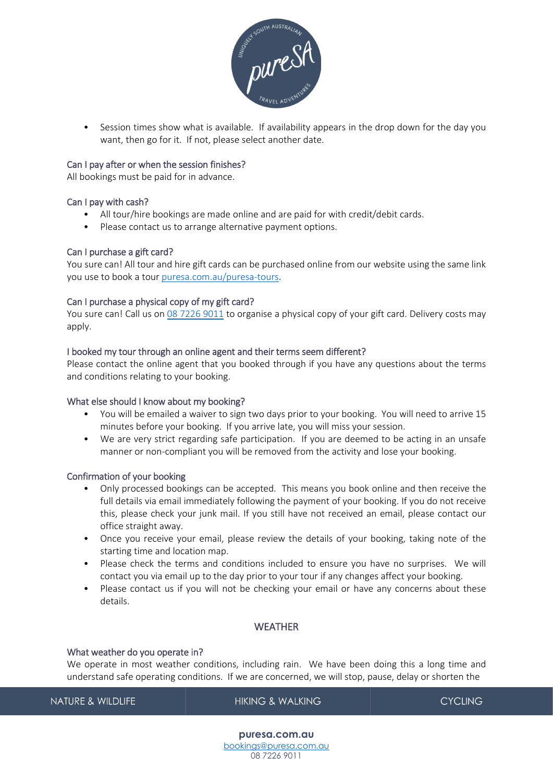

• Session times show what is available. If availability appears in the drop down for the day you want, then go for it. If not, please select another date.

#### Can I pay after or when the session finishes?

All bookings must be paid for in advance.

#### Can I pay with cash?

- All tour/hire bookings are made online and are paid for with credit/debit cards.
- Please contact us to arrange alternative payment options.

#### Can I purchase a gift card?

You sure can! All tour and hire gift cards can be purchased online from our website using the same link you use to book a tour [puresa.com.au/puresa-tours.](https://puresa.com.au/puresa-tours)

#### Can I purchase a physical copy of my gift card?

You sure can! Call us on [08 7226 9011](tel:0872269011) to organise a physical copy of your gift card. Delivery costs may apply.

#### I booked my tour through an online agent and their terms seem different?

Please contact the online agent that you booked through if you have any questions about the terms and conditions relating to your booking.

#### What else should I know about my booking?

- You will be emailed a waiver to sign two days prior to your booking. You will need to arrive 15 minutes before your booking. If you arrive late, you will miss your session.
- We are very strict regarding safe participation. If you are deemed to be acting in an unsafe manner or non-compliant you will be removed from the activity and lose your booking.

#### Confirmation of your booking

- Only processed bookings can be accepted. This means you book online and then receive the full details via email immediately following the payment of your booking. If you do not receive this, please check your junk mail. If you still have not received an email, please contact our office straight away.
- Once you receive your email, please review the details of your booking, taking note of the starting time and location map.
- Please check the terms and conditions included to ensure you have no surprises. We will contact you via email up to the day prior to your tour if any changes affect your booking.
- Please contact us if you will not be checking your email or have any concerns about these details.

# **WFATHER**

#### What weather do you operate in?

We operate in most weather conditions, including rain. We have been doing this a long time and understand safe operating conditions. If we are concerned, we will stop, pause, delay or shorten the

**NATURE & WILDLIFE** 

**HIKING & WALKING** 

**CYCLING** 

**puresa.com.au** [bookings@puresa.com.au](mailto:bookings@puresa.com.au) 08 7226 9011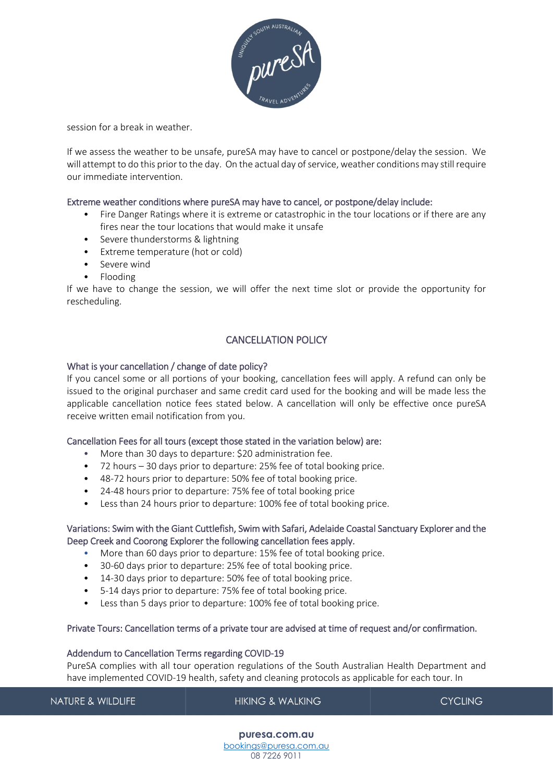

session for a break in weather.

If we assess the weather to be unsafe, pureSA may have to cancel or postpone/delay the session. We will attempt to do this prior to the day. On the actual day of service, weather conditions may still require our immediate intervention.

#### Extreme weather conditions where pureSA may have to cancel, or postpone/delay include:

- Fire Danger Ratings where it is extreme or catastrophic in the tour locations or if there are any fires near the tour locations that would make it unsafe
- Severe thunderstorms & lightning
- Extreme temperature (hot or cold)
- Severe wind
- Flooding

If we have to change the session, we will offer the next time slot or provide the opportunity for rescheduling.

# CANCELLATION POLICY

#### What is your cancellation / change of date policy?

If you cancel some or all portions of your booking, cancellation fees will apply. A refund can only be issued to the original purchaser and same credit card used for the booking and will be made less the applicable cancellation notice fees stated below. A cancellation will only be effective once pureSA receive written email notification from you.

#### Cancellation Fees for all tours (except those stated in the variation below) are:

- More than 30 days to departure: \$20 administration fee.
- 72 hours 30 days prior to departure: 25% fee of total booking price.
- 48-72 hours prior to departure: 50% fee of total booking price.
- 24-48 hours prior to departure: 75% fee of total booking price
- Less than 24 hours prior to departure: 100% fee of total booking price.

### Variations: Swim with the Giant Cuttlefish, Swim with Safari, Adelaide Coastal Sanctuary Explorer and the Deep Creek and Coorong Explorer the following cancellation fees apply.

- More than 60 days prior to departure: 15% fee of total booking price.
- 30-60 days prior to departure: 25% fee of total booking price.
- 14-30 days prior to departure: 50% fee of total booking price.
- 5-14 days prior to departure: 75% fee of total booking price.
- Less than 5 days prior to departure: 100% fee of total booking price.

# Private Tours: Cancellation terms of a private tour are advised at time of request and/or confirmation.

#### Addendum to Cancellation Terms regarding COVID-19

PureSA complies with all tour operation regulations of the South Australian Health Department and have implemented COVID-19 health, safety and cleaning protocols as applicable for each tour. In

**NATURE & WILDLIFE HIKING & WALKING CYCLING**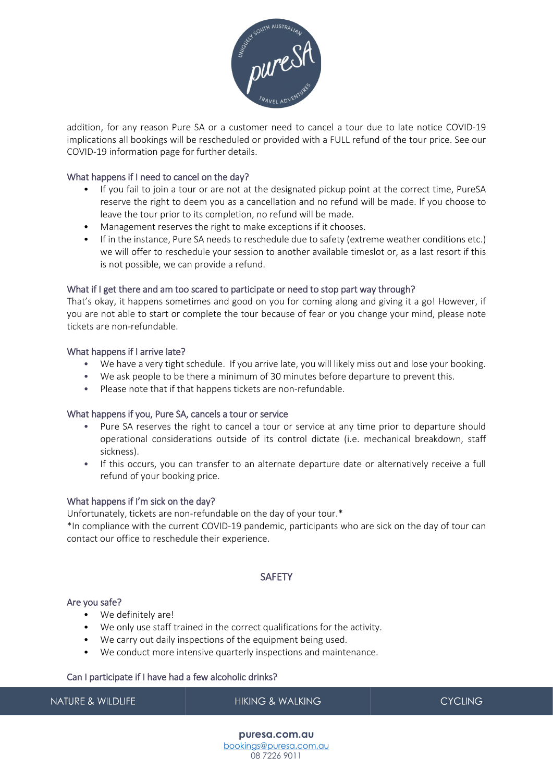

addition, for any reason Pure SA or a customer need to cancel a tour due to late notice COVID-19 implications all bookings will be rescheduled or provided with a FULL refund of the tour price. See our COVID-19 information page for further details.

### What happens if I need to cancel on the day?

- If you fail to join a tour or are not at the designated pickup point at the correct time, PureSA reserve the right to deem you as a cancellation and no refund will be made. If you choose to leave the tour prior to its completion, no refund will be made.
- Management reserves the right to make exceptions if it chooses.
- If in the instance, Pure SA needs to reschedule due to safety (extreme weather conditions etc.) we will offer to reschedule your session to another available timeslot or, as a last resort if this is not possible, we can provide a refund.

### What if I get there and am too scared to participate or need to stop part way through?

That's okay, it happens sometimes and good on you for coming along and giving it a go! However, if you are not able to start or complete the tour because of fear or you change your mind, please note tickets are non-refundable.

### What happens if I arrive late?

- We have a very tight schedule. If you arrive late, you will likely miss out and lose your booking.
- We ask people to be there a minimum of 30 minutes before departure to prevent this.
- Please note that if that happens tickets are non-refundable.

#### What happens if you, Pure SA, cancels a tour or service

- Pure SA reserves the right to cancel a tour or service at any time prior to departure should operational considerations outside of its control dictate (i.e. mechanical breakdown, staff sickness).
- If this occurs, you can transfer to an alternate departure date or alternatively receive a full refund of your booking price.

#### What happens if I'm sick on the day?

Unfortunately, tickets are non-refundable on the day of your tour.\*

\*In compliance with the current COVID-19 pandemic, participants who are sick on the day of tour can contact our office to reschedule their experience.

# **SAFFTY**

#### Are you safe?

- We definitely are!
- We only use staff trained in the correct qualifications for the activity.
- We carry out daily inspections of the equipment being used.
- We conduct more intensive quarterly inspections and maintenance.

#### Can I participate if I have had a few alcoholic drinks?

**NATURE & WILDLIFE** 

**HIKING & WALKING** 

**CYCLING**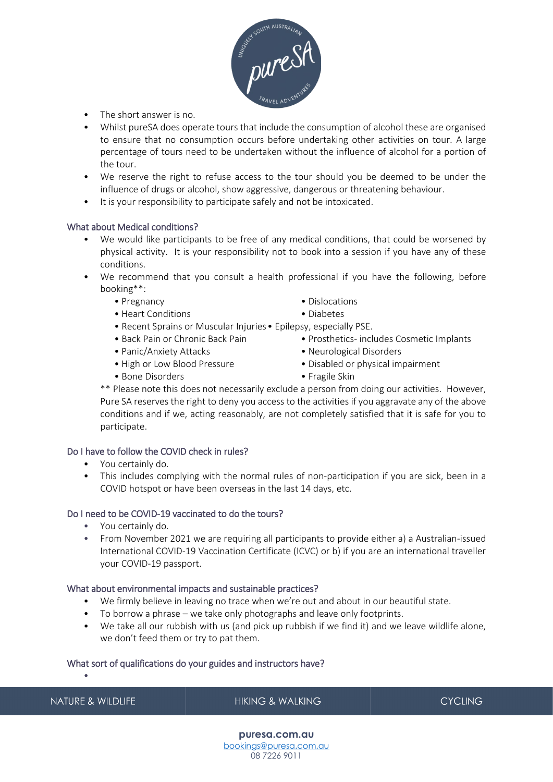

- The short answer is no.
- Whilst pureSA does operate tours that include the consumption of alcohol these are organised to ensure that no consumption occurs before undertaking other activities on tour. A large percentage of tours need to be undertaken without the influence of alcohol for a portion of the tour.
- We reserve the right to refuse access to the tour should you be deemed to be under the influence of drugs or alcohol, show aggressive, dangerous or threatening behaviour.
- It is your responsibility to participate safely and not be intoxicated.

#### What about Medical conditions?

- We would like participants to be free of any medical conditions, that could be worsened by physical activity. It is your responsibility not to book into a session if you have any of these conditions.
- We recommend that you consult a health professional if you have the following, before booking\*\*:
	- Pregnancy  **Dislocations**
	- Heart Conditions Diabetes
	- Recent Sprains or Muscular Injuries• Epilepsy, especially PSE.
	- Back Pain or Chronic Back Pain Prosthetics- includes Cosmetic Implants
	- Panic/Anxiety Attacks Neurological Disorders
	-
	- Bone Disorders Fragile Skin
- 
- 
- 
- - High or Low Blood Pressure Disabled or physical impairment
		-

\*\* Please note this does not necessarily exclude a person from doing our activities. However, Pure SA reserves the right to deny you access to the activities if you aggravate any of the above conditions and if we, acting reasonably, are not completely satisfied that it is safe for you to participate.

#### Do I have to follow the COVID check in rules?

- You certainly do.
- This includes complying with the normal rules of non-participation if you are sick, been in a COVID hotspot or have been overseas in the last 14 days, etc.

#### Do I need to be COVID-19 vaccinated to do the tours?

- You certainly do.
- From November 2021 we are requiring all participants to provide either a) a Australian-issued International COVID-19 Vaccination Certificate (ICVC) or b) if you are an international traveller your COVID-19 passport.

#### What about environmental impacts and sustainable practices?

- We firmly believe in leaving no trace when we're out and about in our beautiful state.
- To borrow a phrase we take only photographs and leave only footprints.
- We take all our rubbish with us (and pick up rubbish if we find it) and we leave wildlife alone, we don't feed them or try to pat them.

#### What sort of qualifications do your guides and instructors have?

**NATURE & WILDLIFE** 

•

# **HIKING & WALKING**

**CYCLING**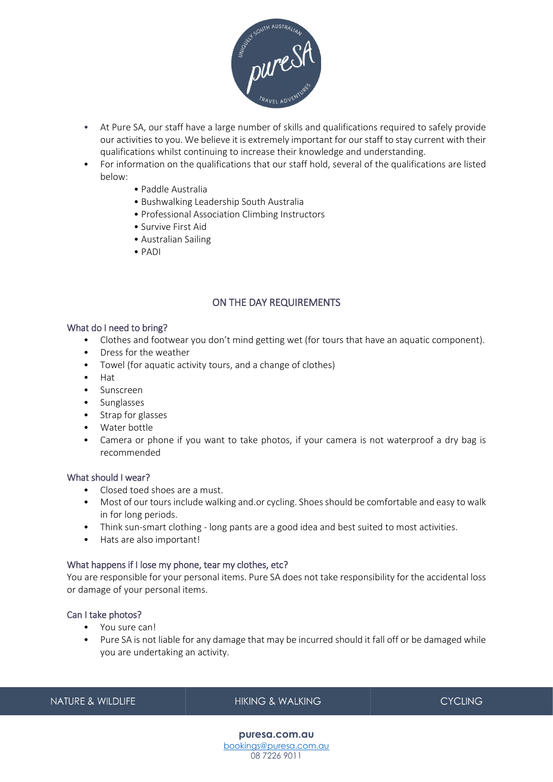

- At Pure SA, our staff have a large number of skills and qualifications required to safely provide our activities to you. We believe it is extremely important for our staff to stay current with their qualifications whilst continuing to increase their knowledge and understanding.
- For information on the qualifications that our staff hold, several of the qualifications are listed below:
	- Paddle Australia
	- Bushwalking Leadership South Australia
	- Professional Association Climbing Instructors
	- Survive First Aid
	- Australian Sailing
	- PADI

# ON THE DAY REQUIREMENTS

### What do I need to bring?

- Clothes and footwear you don't mind getting wet (for tours that have an aquatic component).
- Dress for the weather
- Towel (for aquatic activity tours, and a change of clothes)
- Hat
- Sunscreen
- Sunglasses
- Strap for glasses
- Water bottle
- Camera or phone if you want to take photos, if your camera is not waterproof a dry bag is recommended

#### What should I wear?

- Closed toed shoes are a must.
- Most of our tours include walking and.or cycling. Shoes should be comfortable and easy to walk in for long periods.
- Think sun-smart clothing long pants are a good idea and best suited to most activities.
- Hats are also important!

#### What happens if I lose my phone, tear my clothes, etc?

You are responsible for your personal items. Pure SA does not take responsibility for the accidental loss or damage of your personal items.

### Can I take photos?

- You sure can!
- Pure SA is not liable for any damage that may be incurred should it fall off or be damaged while you are undertaking an activity.

**NATURE & WILDLIFE** 

**HIKING & WALKING** 

**CYCLING**